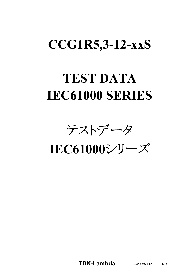# **CCG1R5,3-12-xxS**

# **TEST DATA IEC61000 SERIES**

テストデータ

**IEC61000**シリーズ

**TDK-Lambda C286-58-01A** 1/18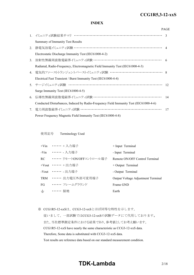#### *RWS 50B-600B Series* **CCG1R5,3-12-xxS**

#### **INDEX**

|    |                                                                                       | <b>PAGE</b> |
|----|---------------------------------------------------------------------------------------|-------------|
|    | 1. イミュニティ試験結果サマリ ……………………………………………………………… 3                                           |             |
|    | Summary of Immunity Test Results                                                      |             |
| 2. | 静電気放電イミュニティ試験 …………………………………………………………… 4                                               |             |
|    | Electrostatic Discharge Immunity Test (IEC61000-4-2)                                  |             |
| 3. | 放射性無線周波数電磁界イミュニティ試験 ………………………………………………… 6                                             |             |
|    | Radiated, Radio-Frequency, Electromagnetic Field Immunity Test (IEC61000-4-3)         |             |
|    | 4. 電気的ファーストトランジェントバーストイミュニティ試験 …………………………………… 8                                       |             |
|    | Electrical Fast Transient / Burst Immunity Test (IEC61000-4-4)                        |             |
|    | 5. サージイミュニティ試験 ……………………………………………………………… 12                                            |             |
|    | Surge Immunity Test (IEC61000-4-5)                                                    |             |
| 6. | 伝導性無線周波数電磁界イミュニティ試験 ………………………………………………                                                | 14          |
|    | Conducted Disturbances, Induced by Radio-Frequency Field Immunity Test (IEC61000-4-6) |             |
| 7. | 電力周波数磁界イミュニティ試験 ………………………………………………………                                                 | 17          |
|    | Power Frequency Magnetic Field Immunity Test (IEC61000-4-8)                           |             |

使用記号 Terminology Used

|       | +Vin …… + 入力端子                | + Input Terminal                   |
|-------|-------------------------------|------------------------------------|
|       | -Vin ••••••• - 入力端子           | - Input Terminal                   |
|       | RC ••••••• リモートON/OFFコントロール端子 | Remote ON/OFF Control Terminal     |
|       | +Vout …… + 出力端子               | $+$ Output Terminal                |
|       | -Vout ・・・・・・ - 出力端子           | - Output Terminal                  |
|       | TRM ······ 出力電圧外部可変用端子        | Output Voltage Adjustment Terminal |
| FG    | ・・・・・・・ フレームグラウンド             | Frame GND                          |
| $\pm$ | ・・・・・・ 接地                     | Earth                              |

※ CCG1R5-12-xxSは、CCG3-12-xxSとほぼ同等な特性を示します。

従いまして、一部試験ではCCG3-12-xxSの試験データにて代用しております。 また、当社標準測定条件における結果であり、参考値としてお考え願います。 CCG1R5-12-xxS have nearly the same characteristic as CCG3-12-xxS data. Therefore, Some data is substituted with CCG3-12-xxS data. Test results are reference data based on our standard measurement condition.

### **TDK-Lambda**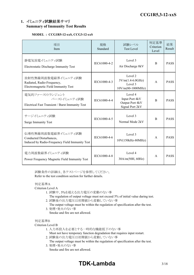#### **1.** イミュニティ試験結果サマリ **Summary of Immunity Test Results**

#### **MODEL : CCG1R5-12-xxS, CCG3-12-xxS**

| 項目<br>Item                                                                                       | 規格<br>Standard | 試験レベル<br><b>Test Level</b>                                      | 判定基準<br>Criterion<br>Level | 結果<br>Result |
|--------------------------------------------------------------------------------------------------|----------------|-----------------------------------------------------------------|----------------------------|--------------|
| 静電気放電イミュニティ試験<br>Electrostatic Discharge Immunity Test                                           | IEC61000-4-2   | Level 3<br>Air Discharge 8kV                                    | <sub>B</sub>               | <b>PASS</b>  |
| 放射性無線周波数電磁界イミュニティ試験<br>Radiated, Radio-Frequency,<br>Electromagnetic Field Immunity Test         | IEC61000-4-3   | Level 2<br>$3V/m(1.4-6.0GHz)$<br>Level 3<br>$10V/m(80-1000MHz)$ | $\mathsf{A}$               | <b>PASS</b>  |
| 電気的ファーストトランジェント<br>バーストイミュニティ試験<br>Electrical Fast Transient / Burst Immunity Test               | IEC61000-4-4   | Level 4<br>Input Port 4kV<br>Output Port 4kV<br>Signal Port 2kV | $\overline{B}$             | <b>PASS</b>  |
| サージイミュニティ試験<br><b>Surge Immunity Test</b>                                                        | IEC61000-4-5   | Level 3<br>Normal Mode 2kV                                      | B                          | <b>PASS</b>  |
| 伝導性無線周波数電磁界イミュニティ試験<br>Conducted Disturbances,<br>Induced by Radio-Frequency Field Immunity Test | IEC61000-4-6   | Level 3<br>10V(150kHz-80MHz)                                    | $\mathsf{A}$               | <b>PASS</b>  |
| 電力周波数磁界イミュニティ試験<br>Power Frequency Magnetic Field Immunity Test                                  | IEC61000-4-8   | Level 4<br>30A/m(50H, 60Hz)                                     | $\mathsf{A}$               | <b>PASS</b>  |

試験条件の詳細は、各テストページを参照してください。 Refer to the test condition section for further details.

#### 判定基準A

Criterion Level A

- 1. 試験中、5%を超える出力電圧の変動のない事
	- The regulation of output voltage must not exceed 5% of initial value during test.
- 2. 試験後の出力電圧は初期値から変動していない事
	- The output voltage must be within the regulation of specification after the test.
- 3. 発煙・発火のない事 Smoke and fire are not allowed.

#### 判定基準B

#### Criterion Level B

- 1. 入力再投入を必要とする一時的な機能低下のない事
	- Must not have temporary function degradation that requires input restart.
- 2. 試験後の出力電圧は初期値から変動していない事
- The output voltage must be within the regulation of specification after the test. 3. 発煙・発火のない事
	- Smoke and fire are not allowed.

# **TDK-Lambda**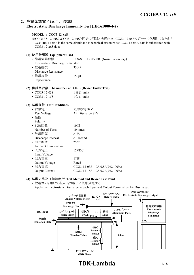#### **2.** 静電気放電イミュニティ試験 **Electrostatic Discharge Immunity Test (IEC61000-4-2)**

#### **MODEL : CCG3-12-xxS**

※CCG1R5-12-xxSはCCG3-12-xxSと同様の回路と機構の為、CCG3-12-xxSのデータで代用しております CCG1R5-12-xxS is the same circuit and mechanical structure as CCG3-12-xxS, data is substituted with CCG3-12-xxS data.

| (1) 使用計測器 Equipment Used          |                                       |
|-----------------------------------|---------------------------------------|
| • 静電気試験機                          | : ESS-S3011/GT-30R (Noise Laboratory) |
| Electrostatic Discharge Simulator |                                       |
| • 放電抵抗                            | $: 330\Omega$                         |
| Discharge Resistance              |                                       |
| •静電容量                             | : 150pF                               |
| Capacitance                       |                                       |

#### **(2)** 供試品台数 **The number of D.U.T. (Device Under Test)**

| $\cdot$ CCG3-12-03S | : $1 \oplus (1 \text{ unit})$ |
|---------------------|-------------------------------|
| $\cdot$ CCG3-12-15S | : $1 \oplus (1 \text{ unit})$ |

#### **(3)** 試験条件 **Test Conditions**

| • 試験電圧                     | : 気中放電 8kV                                          |
|----------------------------|-----------------------------------------------------|
| <b>Test Voltage</b>        | Air Discharge 8kV                                   |
| • 極性                       | $; +, -$                                            |
| Polarity                   |                                                     |
| • 試験回数                     | : $10\Box$                                          |
| Number of Tests            | 10 times                                            |
| • 放電間隔                     | :>1秒                                                |
| Discharge Interval         | $>1$ second                                         |
| • 周囲温度                     | $: 25^{\circ}C$                                     |
| <b>Ambient Temperature</b> |                                                     |
| ・入力電圧                      | : 12VDC                                             |
| Input Voltage              |                                                     |
| ・出力電圧                      | : 定格                                                |
| Output Voltage             | Rated                                               |
| • 出力電流                     | $\frac{1}{2}$ CCG3-12-03S<br>$0A, 0.8A(0\%, 100\%)$ |
| Output Current             | CCG3-12-15S<br>0A, 0.2A(0%, 100%)                   |
|                            |                                                     |

#### **(4)** 試験方法及び印加箇所 **Test Method and Device Test Point**

• 放電ガンを用いて各入出力端子に気中放電する Apply the Electrostatic Discharge to each Input and Output Terminal by Air Discharge.



## **TDK-Lambda** 4/18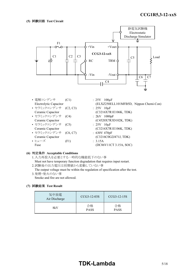

| • 電解コンデンサ              | (C1)     | : $25V$ 100 $\mu$ F |                        |                                        |
|------------------------|----------|---------------------|------------------------|----------------------------------------|
| Electrolytic Capacitor |          |                     |                        | (ELXZ250ELL101MFB5D, Nippon Chemi-Con) |
| • セラミックコンデンサ (C2, C3)  |          | $: 25V$ 10 $\mu$ F  |                        |                                        |
| Ceramic Capacitor      |          |                     | (C3216X7R1E106K, TDK)  |                                        |
| • セラミックコンデンサ (C4)      |          | $: 2kV$ 1000pF      |                        |                                        |
| Ceramic Capacitor      |          |                     | (C4520X7R3D102K, TDK)  |                                        |
| • セラミックコンデンサ           | (C5)     | $: 25V$ 10 $\mu$ F  |                        |                                        |
| Ceramic Capacitor      |          |                     | (C3216X7R1E106K, TDK)  |                                        |
| • セラミックコンデンサ           | (C6, C7) | : 630V 470pF        |                        |                                        |
| Ceramic Capacitor      |          |                     | (C3216C0G2J471J, TDK)  |                                        |
| • ヒューズ                 | (F1)     | : 3.15A             |                        |                                        |
| Fuse                   |          |                     | (DC86V11CT 3.15A, SOC) |                                        |
|                        |          |                     |                        |                                        |
|                        |          |                     |                        |                                        |

#### **(6)** 判定条件 **Acceptable Conditions**

1.入力再投入を必要とする一時的な機能低下のない事 Must not have temporary function degradation that requires input restart. 2.試験後の出力電圧は初期値から変動していない事

The output voltage must be within the regulation of specification after the test. 3.発煙・発火のない事

Smoke and fire are not allowed.

| 気中放電<br>Air Discharge | $CCG3-12-03S$     | CCG3-12-15S       |
|-----------------------|-------------------|-------------------|
| 8kV                   | 合格<br><b>PASS</b> | 合格<br><b>PASS</b> |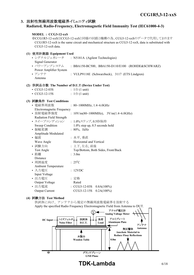#### **3.** 放射性無線周波数電磁界イミュニティ試験

#### **Radiated, Radio-Frequency, Electromagnetic Field Immunity Test (IEC61000-4-3)**

| MODEL : CCG3-12-xxS<br>CCG3-12-xxS data.                                                                                                                                               | ※CCG1R5-12-xxSはCCG3-12-xxSと同様の回路と機構の為、CCG3-12-xxSのデータで代用しております<br>CCG1R5-12-xxS is the same circuit and mechanical structure as CCG3-12-xxS, data is substituted with                                      |
|----------------------------------------------------------------------------------------------------------------------------------------------------------------------------------------|------------------------------------------------------------------------------------------------------------------------------------------------------------------------------------------------------------|
| (1) 使用計測器 Equipment Used                                                                                                                                                               |                                                                                                                                                                                                            |
| • シグナルジェネレータ<br>Signal Generator                                                                                                                                                       | : N5181A (Agilent Technologies)                                                                                                                                                                            |
| • パワーアンプシステム                                                                                                                                                                           | : BBA150-BC500, BBA150-D110/E100 (ROHDE&SCHWARZ)                                                                                                                                                           |
| Power Amplifier System<br>• アンテナ<br>Antenna                                                                                                                                            | : VULP9118E (Schwarzbeck), 3117 (ETS Lindgren)                                                                                                                                                             |
| (2) 供試品台数 The Number of D.U.T (Device Under Test)                                                                                                                                      |                                                                                                                                                                                                            |
| $\cdot$ CCG3-12-03S                                                                                                                                                                    | : $1 \oplus (1 \text{ unit})$                                                                                                                                                                              |
| $\cdot$ CCG3-12-15S                                                                                                                                                                    | : $1 \oplus (1 \text{ unit})$                                                                                                                                                                              |
| (3) 試験条件 Test Conditions<br>• 電磁界周波数<br><b>Electromagnetic Frequency</b><br>• 放射電磁界強度<br>Radiation Field Strength<br>• スイープコンディション<br>Sweep Condition<br>• 振幅変調<br>Amplitude Modulated | : $80~1000$ MHz, $1.4~6.0$ GHz<br>: $10 \text{V/m}(80 \text{~} 1000 \text{MHz})$ , $3 \text{V/m}(1.4 \text{~} 6.0 \text{GHz})$<br>: 1.0%ステップ,0.5秒保持<br>$1.0\%$ step up, 0.5 seconds hold<br>$: 80\%, 1kHz$ |
| • 偏波                                                                                                                                                                                   | : 水平, 垂直                                                                                                                                                                                                   |
| Wave Angle                                                                                                                                                                             | Horizontal and Vertical                                                                                                                                                                                    |
| • 試験方向                                                                                                                                                                                 | : 上下, 左右, 前後                                                                                                                                                                                               |
| Test Angle                                                                                                                                                                             | Top/Bottom, Both Sides, Front/Back                                                                                                                                                                         |
| • 距離                                                                                                                                                                                   | : 3.0m                                                                                                                                                                                                     |
| Distance<br>• 周囲温度                                                                                                                                                                     | $: 25^{\circ}C$                                                                                                                                                                                            |
| <b>Ambient Temperature</b><br>• 入力電圧<br>Input Voltage                                                                                                                                  | : 12VDC                                                                                                                                                                                                    |
| • 出力電圧                                                                                                                                                                                 | : 定格                                                                                                                                                                                                       |
| Output Voltage                                                                                                                                                                         | Rated                                                                                                                                                                                                      |
| • 出力電流                                                                                                                                                                                 | : $CCG3-12-03S$ $0.8A(100%)$                                                                                                                                                                               |
| <b>Output Current</b>                                                                                                                                                                  | CCG3-12-15S<br>$0.2A(100\%)$                                                                                                                                                                               |

#### **(4)** 試験方法 **Test Method**

供試体に向け、アンテナから規定の無線周波数電磁界を放射する Apply the specified Radio Frequency Electromagnetic Field from Antenna to DUT.

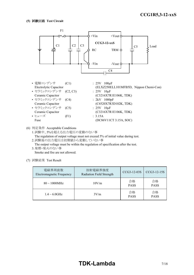

(6) 判定条件 Acceptable Conditions

1.試験中、5%を超える出力電圧の変動のない事 The regulation of output voltage must not exceed 5% of initial value during test.

2.試験後の出力電圧は初期値から変動していない事 The output voltage must be within the regulation of specification after the test. 3.発煙・発火のない事

Smoke and fire are not allowed.

| 電磁界周波数<br>Electromagnetic Frequency | 放射電磁界強度<br>Radiation Field Strength | CCG3-12-03S       | CCG3-12-15S       |
|-------------------------------------|-------------------------------------|-------------------|-------------------|
| $80 \sim 1000 MHz$                  | 10V/m                               | 合格<br><b>PASS</b> | 合格<br><b>PASS</b> |
| $1.4 \sim 6.0$ GHz                  | 3V/m                                | 合格<br><b>PASS</b> | 合格<br><b>PASS</b> |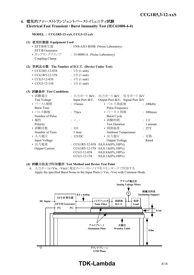#### **4.** 電気的ファーストトランジェントバーストイミュニティ試験 **Electrical Fast Transient / Burst Immunity Test (IEC61000-4-4)**

#### **MODEL : CCG1R5-12-xxS, CCG3-12-xxS**

|     | (1) 使用計測器 Equipment Used                        |                                                  |                            |  |                 |
|-----|-------------------------------------------------|--------------------------------------------------|----------------------------|--|-----------------|
|     | • EFT/B発生器<br>EFT/B Generator                   | : FNS-AX3-B50B (Noise Laboratory)                |                            |  |                 |
|     | • カップリングクランプ : 15-00001A (Noise Laboratory)     |                                                  |                            |  |                 |
|     | Coupling Clamp                                  |                                                  |                            |  |                 |
| (2) | 供試品台数 The Number of D.U.T. (Device Under Test)  |                                                  |                            |  |                 |
|     | $\cdot$ CCG1R5-12-03S                           | : $1 \oplus (1 \text{ unit})$                    |                            |  |                 |
|     | • $CCG1R5-12-15S$ : $1 \oplus (1 \text{ unit})$ |                                                  |                            |  |                 |
|     | $\cdot$ CCG3-12-03S                             | $: 1 \oplus (1 \text{ unit})$                    |                            |  |                 |
|     | $\cdot$ CCG3-12-15S                             | : $1 \oplus (1 \text{ unit})$                    |                            |  |                 |
|     |                                                 |                                                  |                            |  |                 |
|     | (3) 試験条件 Test Conditions                        |                                                  |                            |  |                 |
|     | • 試験電圧                                          | : 入力ポート4kV, 出力ポート4kV, 信号ポート2kV                   |                            |  |                 |
|     | <b>Test Voltage</b>                             | Input Port 4kV, Output Port 4kV, Signal Port 2kV |                            |  |                 |
|     | • バースト期間                                        | $: 15$ msec                                      | • パルス周波数                   |  | : 100kHz        |
|     | <b>Burst Time</b>                               |                                                  | Pulse Frequency            |  |                 |
|     | • パルス個数                                         | : 75 <sub>pres</sub>                             | • バースト周期                   |  | : 300msec       |
|     | Number of Pulse                                 |                                                  | <b>Burst Cycle</b>         |  |                 |
|     | • 極性                                            | $+,-$                                            | • 試験時間                     |  | : 1分            |
|     | Polarity                                        |                                                  | <b>Test Duration</b>       |  | 1 minute        |
|     | • 試験回数                                          | $: 1 \square$                                    | • 周囲温度                     |  | $: 25^{\circ}C$ |
|     | Number of Tests                                 | 1 time                                           | <b>Ambient Temperature</b> |  |                 |
|     | . 7 五零匠                                         | $\cdot$ 10 $\lambda$                             | 山五垂丘                       |  | ,孛枚             |

| Number of Tests       | 1 time        | Ambient Temperature                    |       |
|-----------------------|---------------|----------------------------------------|-------|
| • 入力雷圧                | : 12VDC       | • 出力雷圧                                 | : 定格  |
| Input Voltage         |               | Output Voltage                         | Rated |
| • 出力電流                |               | : CCG1R5-12-03S $0A, 0.4A(0\%, 100\%)$ |       |
| <b>Output Current</b> |               | $CCG1R5-12-15S$ $0A,0.1A(0\%,100\%)$   |       |
|                       | $CCG3-12-03S$ | $0A, 0.8A(0\%, 100\%)$                 |       |
|                       | $CCG3-12-15S$ | $0A, 0.2A(0\%, 100\%)$                 |       |

#### **(4)** 試験方法及び印加箇所 **Test Method and Device Test Point**

A. 入力ポート(+Vin、-Vin)に規定のバースト・ノイズをコモンモードで印加する Apply the specified Burst Noise to the Input Ports (+Vin, -Vin) with Common Mode.



**TDK-Lambda** 8/18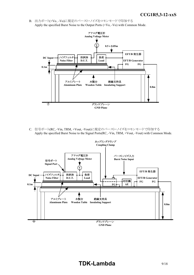B. 出力ポート(+Vo、-Vo)に規定のバースト・ノイズをコモンモードで印加する Apply the specified Burst Noise to the Output Ports (+Vo, -Vo) with Common Mode.



C. 信号ポート(RC, -Vin, TRM, +Vout, -Vout)に規定のバースト・ノイズをコモンモードで印加する Apply the specified Burst Noise to the Signal Ports(RC, -Vin, TRM, +Vout, -Vout) with Common Mode.

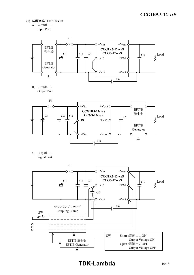- **(5)** 試験回路 **Test Circuit**
	- A. 入力ポート Input Port



B. 出力ポート Output Port



C. 信号ポート Signal Port

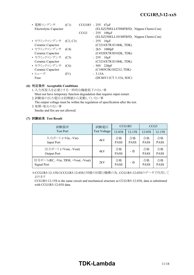| • 電解コンデンサ              | (C1) |      | $CCG1R5 : 25V 47\mu F$                 |
|------------------------|------|------|----------------------------------------|
| Electrolytic Capacitor |      |      | (ELXZ250ELL470MFB5D, Nippon Chemi-Con) |
|                        |      | CCG3 | : $25V$ 100 $\mu$ F                    |
|                        |      |      | (ELXZ250ELL101MFB5D, Nippon Chemi-Con) |
| • セラミックコンデンサ (C2,C3)   |      |      | $: 25V$ 10 $\mu$ F                     |
| Ceramic Capacitor      |      |      | (C3216X7R1E106K, TDK)                  |
| • セラミックコンデンサ (C4)      |      |      | $: 2kV$ 1000pF                         |
| Ceramic Capacitor      |      |      | (C4520X7R3D102K, TDK)                  |
| • セラミックコンデンサ           | (C5) |      | $: 25V$ 10 $\mu$ F                     |
| Ceramic Capacitor      |      |      | (C3216X7R1E106K, TDK)                  |
| • セラミックコンデンサ           | (C6) |      | $: 50V$ 220pF                          |
| Ceramic Capacitor      |      |      | (C1005C0G1H221J, TDK)                  |
| • ヒューズ                 | (F1) |      | : 3.15A                                |
| Fuse                   |      |      | (DC86V11CT 3.15A, SOC)                 |

#### **(6)** 判定条件 **Acceptable Conditions**

- 1.入力再投入を必要とする一時的な機能低下のない事 Must not have temporary function degradation that requires input restart.
- 2.試験後の出力電圧は初期値から変動していない事
- The output voltage must be within the regulation of specification after the test. 3.発煙・発火のない事

Smoke and fire are not allowed.

#### **(7)** 試験結果 **Test Result**

| 試験箇所                                              | 試験電圧                |                   | CCG1R5            | CCG3              |                   |
|---------------------------------------------------|---------------------|-------------------|-------------------|-------------------|-------------------|
| <b>Test Port</b>                                  | <b>Test Voltage</b> | $12 - 0.3S$       | 12-15S            | $12-03S$          | $12 - 15S$        |
| 入力ポート (+Vin, -Vin)<br>Input Port                  | 4kV                 | 合格<br><b>PASS</b> | 合格<br><b>PASS</b> | 合格<br><b>PASS</b> | 合格<br><b>PASS</b> |
| 出力ポート (+Vout, -Vout)<br>Output Port               | 4kV                 | 合格<br><b>PASS</b> | - ※               | 合格<br><b>PASS</b> | 合格<br><b>PASS</b> |
| 信号ポート(RC, -Vin, TRM, +Vout, -Vout)<br>Signal Port | 2kV                 | 合格<br><b>PASS</b> | - ※               | 合格<br><b>PASS</b> | 合格<br><b>PASS</b> |

※CCG1R5-12-15SはCCG1R5-12-03Sと同様の回路と機構の為、CCG1R5-12-03Sのデータで代用して おります

CCG1R5-12-15S is the same circuit and mechanical structure as CCG1R5-12-03S, data is substituted with CCG1R5-12-03S data.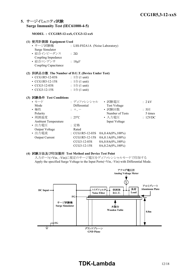#### **5.** サージイミュニティ試験 **Surge Immunity Test (IEC61000-4-5)**

#### **MODEL : CCG1R5-12-xxS, CCG3-12-xxS**

| (1) 使用計測器 Equipment Used                           |                                  |                        |         |
|----------------------------------------------------|----------------------------------|------------------------|---------|
| • サージ試験機                                           | : LSS-F02A1A (Noise Laboratory)  |                        |         |
| Surge Simulator                                    |                                  |                        |         |
| • 結合インピーダンス                                        | : $2\Omega$                      |                        |         |
| Coupling Impedance                                 |                                  |                        |         |
| • 結合コンデンサ                                          | : $18 \mu F$                     |                        |         |
| Coupling Capacitance                               |                                  |                        |         |
| (2) 供試品台数 The Number of D.U.T. (Device Under Test) |                                  |                        |         |
| $\cdot$ CCG1R5-12-03S                              | $: 1 \oplus (1 \text{ unit})$    |                        |         |
| • $CCG1R5-12-15S$ : $1 \oplus (1 \text{ unit})$    |                                  |                        |         |
| $\cdot$ CCG3-12-03S                                | : $1 \oplus (1 \text{ unit})$    |                        |         |
| $\cdot$ CCG3-12-15S                                | : $1 \oplus (1 \text{ unit})$    |                        |         |
| (3) 試験条件 Test Conditions                           |                                  |                        |         |
| • モード                                              | : ディファレンシャル → 試験電圧               |                        | :2kV    |
| Mode                                               | Differential                     | <b>Test Voltage</b>    |         |
| • 極性                                               | $: +, -$                         | • 試験回数                 | : 5回    |
| Polarity                                           |                                  | Number of Tests        | 5 times |
| • 周囲温度                                             | $: 25^{\circ}C$                  | • 入力電圧                 | : 12VDC |
| <b>Ambient Temperature</b>                         |                                  | Input Voltage          |         |
| • 出力電圧                                             | : 定格                             |                        |         |
| Output Voltage                                     | Rated                            |                        |         |
| • 出力電流                                             | : CCG1R5-12-03S 0A,0.4A(0%,100%) |                        |         |
| <b>Output Current</b>                              | CCG1R5-12-15S                    | $0A, 0.1A(0\%, 100\%)$ |         |
|                                                    | CCG3-12-03S                      | 0A,0.8A(0%,100%)       |         |

#### **(4)** 試験方法及び印加箇所 **Test Method and Device Test Point**

入力ポート(+Vin、-Vin)に規定のサージ電圧をディファレンシャルモードで印加する Apply the specified Surge Voltage to the Input Ports(+Vin, -Vin) with Differential Mode.

CCG3-12-15S 0A,0.2A(0%,100%)

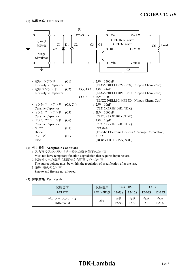

#### **(6)** 判定条件 **Acceptable Conditions**

1.入力再投入を必要とする一時的な機能低下のない事 Must not have temporary function degradation that requires input restart.

2.試験後の出力電圧は初期値から変動していない事

The output voltage must be within the regulation of specification after the test. 3.発煙・発火のない事

Smoke and fire are not allowed.

| 試験箇所                      | 試験電圧         | CCG1R5            |                   | CCG <sub>3</sub>  |                   |
|---------------------------|--------------|-------------------|-------------------|-------------------|-------------------|
| <b>Test Port</b>          | Test Voltage | $12 - 03S$        | 12-15S            | $12 - 03S$        | 12-15S            |
| ディファレンシャル<br>Differential | 2kV          | 合格<br><b>PASS</b> | 合格<br><b>PASS</b> | 合格<br><b>PASS</b> | 合格<br><b>PASS</b> |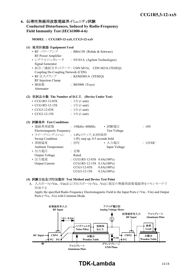#### **6.** 伝導性無線周波数電磁界イミュニティ試験 **Conducted Disturbances, Induced by Radio-Frequency Field Immunity Test (IEC61000-4-6)**

#### **MODEL : CCG1R5-12-xxS, CCG3-12-xxS**

#### **(1)** 使用計測器 **Equipment Used**

• RF パワーアンプ : BBA150 (Rohde & Schwarz) RF Power Amplifier • シグナルジェネレータ : N5181A (Agilent Technologies) Signal Generator • 結合/減結合ネットワーク: CDN M316, CDN M216 (TESEQ) Coupling De-Coupling Network (CDN) • RF 注入クランプ : KEMZ801A (TESEQ) RF Injection Clamp • 減衰器 : BS5000 (Toyo)

#### **(2)** 供試品台数 **The Number of D.U.T. (Device Under Test)**

| $\cdot$ CCG1R5-12-03S | : $1 \oplus (1 \text{ unit})$ |
|-----------------------|-------------------------------|
| $\cdot$ CCG1R5-12-15S | : $1 \oplus (1 \text{ unit})$ |
| $\cdot$ CCG3-12-03S   | : $1 \oplus (1 \text{ unit})$ |
| • $CCG3-12-15S$       | : $1 \oplus (1 \text{ unit})$ |

#### **(3)** 試験条件 **Test Conditions**

Attenuator

| • 電磁界周波数                   | $: 150kHz \sim 80MHz$             | • 試験電圧              | :10V    |
|----------------------------|-----------------------------------|---------------------|---------|
| Electromagnetic Frequency  |                                   | <b>Test Voltage</b> |         |
| • スイープコンディション              | : 1.0%ステップ, 0.5秒保持                |                     |         |
| Sweep Condition            | $1.0\%$ step up, 0.5 seconds hold |                     |         |
| • 周囲温度                     | $: 25^{\circ}C$                   | • 入力電圧              | : 12VDC |
| <b>Ambient Temperature</b> |                                   | Input Voltage       |         |
| • 出力電圧                     | : 定格                              |                     |         |
| Output Voltage             | Rated                             |                     |         |
| • 出力電流                     | : $CCG1R5-12-03S$ $0.4A(100%)$    |                     |         |
| <b>Output Current</b>      | CCG1R5-12-15S 0.1A(100%)          |                     |         |
|                            | CCG3-12-03S                       | $0.8A(100\%)$       |         |
|                            | $CCG3-12-15S$                     | $0.2A(100\%)$       |         |

#### **(4)** 試験方法及び印加箇所 **Test Method and Device Test Point**

A. 入力ポート(+Vin、-Vin)および出力ポート(+Vo、-Vo)に規定の無線周波数電磁界をコモンモードで 印加する

Apply the specified Radio Frequency Electromagnetic Field to the Input Ports (+Vin, -Vin) and Output Ports (+Vo, -Vo) with Common Mode.



# **TDK-Lambda** 14/18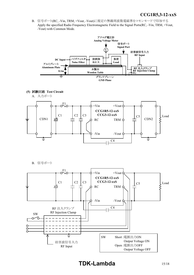*INSTRUCTION MANUAL* B. 信号ポート(RC, -Vin, TRM, +Vout, -Vout)に規定の無線周波数電磁界をコモンモードで印加する Apply the specified Radio Frequency Electromagnetic Field to the Signal Ports(RC, -Vin, TRM, +Vout, -Vout) with Common Mode.



-Vin

 $C<sub>4</sub>$ 

-Vout

į

B. 信号ポート

↨



# **TDK-Lambda**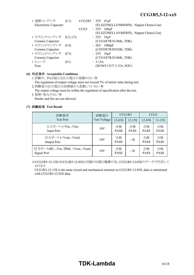| (C1) |                                                                 | $CCG1R5 : 25V 47\mu F$                 |
|------|-----------------------------------------------------------------|----------------------------------------|
|      |                                                                 | (ELXZ250ELL470MFB5D, Nippon Chemi-Con) |
|      |                                                                 | $CCG3$ : 25V $100\mu F$                |
|      |                                                                 | (ELXZ250ELL101MFB5D, Nippon Chemi-Con) |
|      |                                                                 | $: 25V$ 10 $\mu$ F                     |
|      |                                                                 | (C3216X7R1E106K, TDK)                  |
|      |                                                                 | $: 2kV$ 1000pF                         |
|      |                                                                 | (C4520X7R3D102K, TDK)                  |
|      |                                                                 | $: 25V$ 10 $\mu$ F                     |
|      |                                                                 | (C3216X7R1E106K, TDK)                  |
| (F1) |                                                                 | : 3.15A                                |
|      |                                                                 | (DC86V11CT 3.15A, SOC)                 |
|      | • セラミックコンデンサ (C2, C3)<br>• セラミックコンデンサ (C4)<br>• セラミックコンデンサ (C5) |                                        |

#### **(6)** 判定条件 **Acceptable Conditions**

1.試験中、5%を超える出力電圧の変動のない事

The regulation of output voltage must not exceed 5% of initial value during test. 2.試験後の出力電圧は初期値から変動していない事

The output voltage must be within the regulation of specification after the test. 3.発煙・発火のない事

Smoke and fire are not allowed.

#### **(7)** 試験結果 **Test Result**

| 試験箇所                                              | 試験電圧         | CCG1R5            |                   | CCG <sub>3</sub>  |                   |
|---------------------------------------------------|--------------|-------------------|-------------------|-------------------|-------------------|
| <b>Test Port</b>                                  | Test Voltage | $12-03S$          | $12 - 15S$        | $12 - 03S$        | 12-15S            |
| 入力ポート (+Vin, -Vin)<br>Input Port                  | 10V          | 合格<br><b>PASS</b> | 合格<br><b>PASS</b> | 合格<br><b>PASS</b> | 合格<br><b>PASS</b> |
| 出力ポート (+Vout, -Vout)<br>Output Port               | 10V          | 合格<br><b>PASS</b> | - ※               | 合格<br><b>PASS</b> | 合格<br><b>PASS</b> |
| 信号ポート(RC, -Vin, TRM, +Vout, -Vout)<br>Signal Port | 10V          | 合格<br><b>PASS</b> | - ※               | 合格<br><b>PASS</b> | 合格<br><b>PASS</b> |

 ※CCG1R5-12-15SはCCG1R5-12-03Sと同様の回路と機構の為、CCG1R5-12-03Sのデータで代用して おります

CCG1R5-12-15S is the same circuit and mechanical structure as CCG1R5-12-03S, data is substituted with CCG1R5-12-03S data.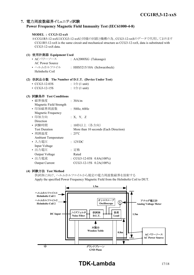### **7.** 電力周波数磁界イミュニティ試験

#### **Power Frequency Magnetic Field Immunity Test (IEC61000-4-8)**

#### **MODEL : CCG3-12-xxS**

※CCG1R5-12-xxSはCCG3-12-xxSと同様の回路と機構の為、CCG3-12-xxSのデータで代用しております CCG1R5-12-xxS is the same circuit and mechanical structure as CCG3-12-xxS, data is substituted with CCG3-12-xxS data.

#### **(1)** 使用計測器 **Equipment Used** • ACパワーソース : AA2000XG (Takasago) AC Power Source • ヘルムホルツコイル : HHS5215/10A (Schwarzbeck) Helmholtz Coil

#### **(2)** 供試品台数 **The Number of D.U.T. (Device Under Test)**

| • $CCG3-12-03S$ |  | : $1 \oplus (1 \text{ unit})$ |  |
|-----------------|--|-------------------------------|--|
|-----------------|--|-------------------------------|--|

•  $CCG3-12-15S$  :  $1 \oplus (1 \text{ unit})$ 

#### **(3)** 試験条件 **Test Conditions**

| • 磁界強度                     | : 30A/m                               |
|----------------------------|---------------------------------------|
| Magnetic Field Strength    |                                       |
| • 印加磁界周波数                  | : 50Hz, 60Hz                          |
| Magnetic Frequency         |                                       |
| • 印加方向                     | : X, Y, Z                             |
| Direction                  |                                       |
| • 試験時間                     | :10秒以上(各方向)                           |
| <b>Test Duration</b>       | More than 10 seconds (Each Direction) |
| • 周囲温度                     | $: 25^{\circ}C$                       |
| <b>Ambient Temperature</b> |                                       |
| ・入力電圧                      | : 12VDC                               |
| Input Voltage              |                                       |
| ・出力電圧                      | : 定格                                  |
| Output Voltage             | Rated                                 |
| • 出力電流                     | : $CCG3-12-03S$ $0.8A(100%)$          |
| Output Current             | CCG3-12-15S 0.2A(100%)                |
|                            |                                       |

#### **(4)** 試験方法 **Test Method**

供試体に向け、ヘルムホルツコイルから規定の電力周波数磁界を放射する Apply the specified Power Frequency Magnetic Field from the Helmholtz Coil to DUT.